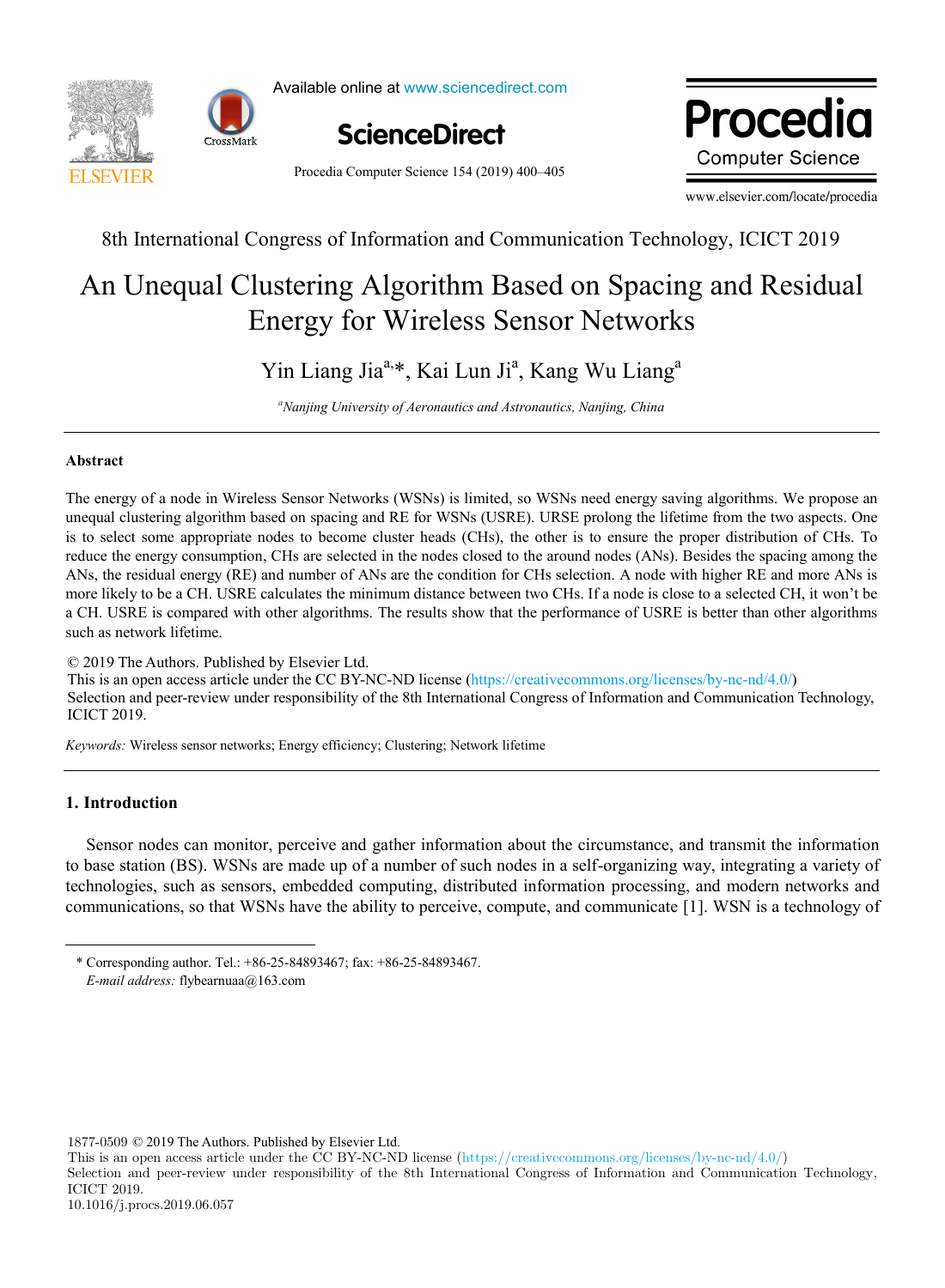



Available online at www.sciencedirect.com



Procedia Computer Science 154 (2019) 400–405

www.elsevier.com/locate/procediate/procediate/ Drocadic **Computer Science** 

www.elsevier.com/locate/procedia

# 8th International Congress of Information and Communication Technology, ICICT 2019

#### Unequal Clustering Algorithm Based on Spacing and Resid nergy for Wireless Sensor Networl  $A_n$  Unequal  $Cl_n$  statistic  $A_1$  and  $R_n$  is  $R_n$  and  $R_n$  is  $S_n$  and  $R_n$  and  $R_n$ Tustering Argorium Dased on Spacing An Unequal Clustering Algorithm Based on Spacing and Residual Energy for Wireless Sensor Networks

lia<sup>a, \*</sup>, Kai Lun Ji<sup>a</sup>, Kang Yin Liang Jiaa,\*, Kai Lun Ji , Kang Wu Liang<sup>a</sup> Yin Liang Jia<sup>a,</sup>\*, Kai Lun Ji<sup>a</sup>, Kang Wu Liang<sup>a</sup> *Nanjing University of Aeronautics and Astronautics, Nanjing, China*

*Suzhou University Shandong Business Institute a Nanjing University of Aeronautics and Astronautics, Nanjing, China*

## **Abstract Abstract**

The energy of a node in Wireless Sensor Networks (WSNs) is limited, so WSNs need energy saving algorithms. We propose an unequal clustering algorithm based on spacing and RE for WSNs (USRE). URSE prolong the lifetime from the two aspects. One is to select some appropriate nodes to become cluster heads (CHs), the other is to ensure the proper distribution of CHs. To reduce the energy consumption, CHs are selected in the nodes closed to the around nodes (ANs). Besides the spacing among the ANs, the residual energy (RE) and number of ANs are the condition for CHs selection. A node with higher RE and more ANs is a CH. USRE is compared with other algorithms. The results show that the performance of USRE is better than other algorithms  $T_{\text{S}}$  is an open access are CC-ND licenses. more likely to be a CH. USRE calculates the minimum distance between two CHs. If a node is close to a selected CH, it won't be such as network lifetime.

© 2019 The Authors. Published by Elsevier Ltd. C 2019 The Additions. Fubrished by Eisevier Etd.<br>This is an open access article under the CC BY-NC-ND license (https://creativecommons.org/licenses/by-nc-nd/4.0/) Selection and peer-review under responsibility of the 8th International Congress of Information and Communication Technology,  $ICICT 2019.$ Telectron and peer fevrew. This is an open access article under the CC BY-NC-ND license (https://creative.commons.org/licenses/by-nc-nd/4.0/) in  $\alpha$ Person under review under responsibility of the 8th International Congress of Information and Communication Technology,

*Keywords:* Wireless sensor networks; Energy efficiency; Clustering; Network lifetime *Keywords:* Wireless sensor networks; Energy efficiency; Clustering; Network lifetime

#### 1. Introduction  $A$  is ying (1985), female,  $B$  in  $S$  shandong,  $P$  studient of  $S$ uzhou University, lecturer of information article respectively.

-

Sensor nodes can monitor, perceive and gather information about the circumstance, and transmit the information to base station (BS). WSNs are made up of a number of such nodes in a self-organizing way, integrating a variety of technologies, such as sensors, embedded computing, distributed information processing, and modern networks and  $\alpha$  communications as that WCNs have the shilitate parasing councts and communicate  $\alpha$ <sup>1</sup> WCN is a technology of communications, so that WSNs have the ability to perceive, compute, and communicate [1]. WSN is a technology of

1877-0509 © 2019 The Authors. Published by Elsevier Ltd.

This is an open access article under the CC BY-NC-ND license (https://creativecommons.org/licenses/by-nc-nd/4.0/)

Selection and peer-review under responsibility of the 8th International Congress of Information and Communication Technology, ICICT 2019.

Detailed address: Shandong Business Institute, Jinhai Road, High-tech Zone, Yantai, Shandong, China,zip code: 264670, contact number: \* Corresponding author. Tel.: +86-25-84893467; fax: +86-25-84893467. *E-mail address:* flybearnuaa@163.com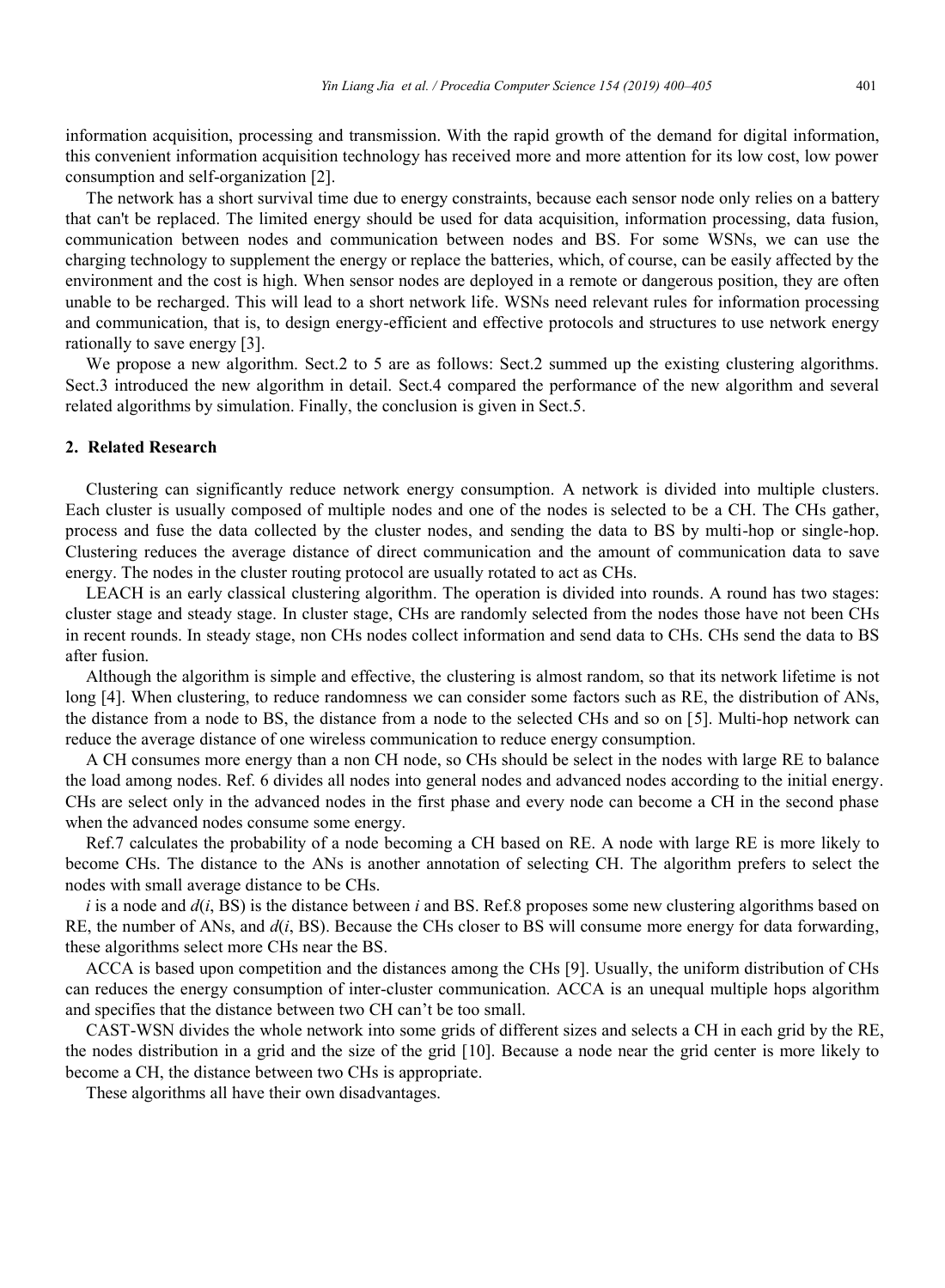information acquisition, processing and transmission. With the rapid growth of the demand for digital information, this convenient information acquisition technology has received more and more attention for its low cost, low power consumption and self-organization [2].

The network has a short survival time due to energy constraints, because each sensor node only relies on a battery that can't be replaced. The limited energy should be used for data acquisition, information processing, data fusion, communication between nodes and communication between nodes and BS. For some WSNs, we can use the charging technology to supplement the energy or replace the batteries, which, of course, can be easily affected by the environment and the cost is high. When sensor nodes are deployed in a remote or dangerous position, they are often unable to be recharged. This will lead to a short network life. WSNs need relevant rules for information processing and communication, that is, to design energy-efficient and effective protocols and structures to use network energy rationally to save energy [3].

We propose a new algorithm. Sect.2 to 5 are as follows: Sect.2 summed up the existing clustering algorithms. Sect.3 introduced the new algorithm in detail. Sect.4 compared the performance of the new algorithm and several related algorithms by simulation. Finally, the conclusion is given in Sect.5.

### **2. Related Research**

Clustering can significantly reduce network energy consumption. A network is divided into multiple clusters. Each cluster is usually composed of multiple nodes and one of the nodes is selected to be a CH. The CHs gather, process and fuse the data collected by the cluster nodes, and sending the data to BS by multi-hop or single-hop. Clustering reduces the average distance of direct communication and the amount of communication data to save energy. The nodes in the cluster routing protocol are usually rotated to act as CHs.

LEACH is an early classical clustering algorithm. The operation is divided into rounds. A round has two stages: cluster stage and steady stage. In cluster stage, CHs are randomly selected from the nodes those have not been CHs in recent rounds. In steady stage, non CHs nodes collect information and send data to CHs. CHs send the data to BS after fusion.

Although the algorithm is simple and effective, the clustering is almost random, so that its network lifetime is not long [4]. When clustering, to reduce randomness we can consider some factors such as RE, the distribution of ANs, the distance from a node to BS, the distance from a node to the selected CHs and so on [5]. Multi-hop network can reduce the average distance of one wireless communication to reduce energy consumption.

A CH consumes more energy than a non CH node, so CHs should be select in the nodes with large RE to balance the load among nodes. Ref. 6 divides all nodes into general nodes and advanced nodes according to the initial energy. CHs are select only in the advanced nodes in the first phase and every node can become a CH in the second phase when the advanced nodes consume some energy.

Ref.7 calculates the probability of a node becoming a CH based on RE. A node with large RE is more likely to become CHs. The distance to the ANs is another annotation of selecting CH. The algorithm prefers to select the nodes with small average distance to be CHs.

*i* is a node and *d*(*i*, BS) is the distance between *i* and BS. Ref.8 proposes some new clustering algorithms based on RE, the number of ANs, and *d*(*i*, BS). Because the CHs closer to BS will consume more energy for data forwarding, these algorithms select more CHs near the BS.

ACCA is based upon competition and the distances among the CHs [9]. Usually, the uniform distribution of CHs can reduces the energy consumption of inter-cluster communication. ACCA is an unequal multiple hops algorithm and specifies that the distance between two CH can't be too small.

CAST-WSN divides the whole network into some grids of different sizes and selects a CH in each grid by the RE, the nodes distribution in a grid and the size of the grid [10]. Because a node near the grid center is more likely to become a CH, the distance between two CHs is appropriate.

These algorithms all have their own disadvantages.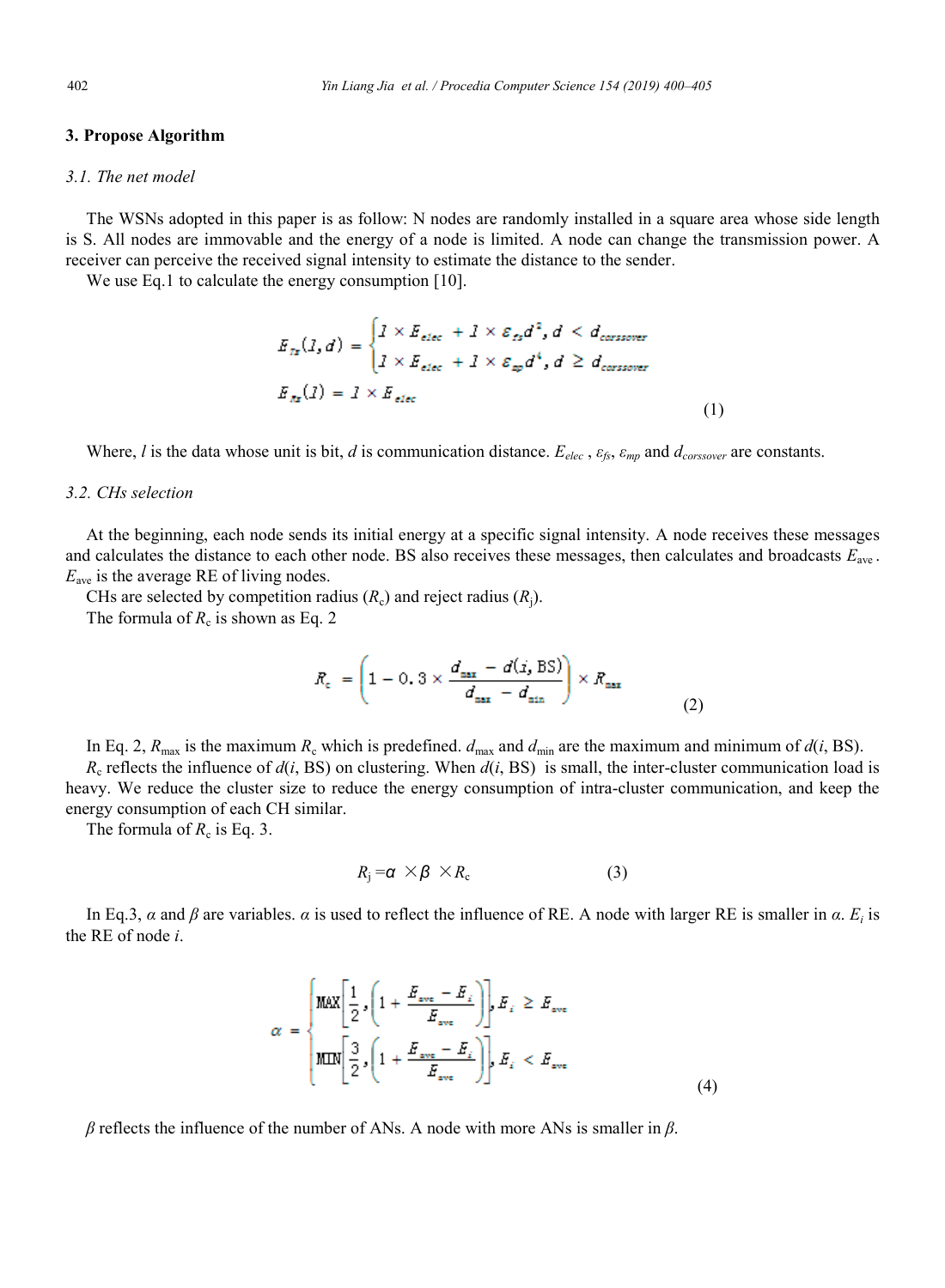### **3. Propose Algorithm**

#### *3.1. The net model*

The WSNs adopted in this paper is as follow: N nodes are randomly installed in a square area whose side length is S. All nodes are immovable and the energy of a node is limited. A node can change the transmission power. A receiver can perceive the received signal intensity to estimate the distance to the sender.

We use Eq.1 to calculate the energy consumption [10].

$$
E_{Ix}(I,d) = \begin{cases} I \times E_{elec} + I \times \varepsilon_{fs} d^2, d < d_{\text{consower}} \\ I \times E_{elec} + I \times \varepsilon_{sp} d^4, d \ge d_{\text{consower}} \end{cases}
$$

$$
E_{Ix}(I) = I \times E_{elec}
$$
(1)

Where, *l* is the data whose unit is bit, *d* is communication distance. *Eelec* , *εfs*, *εmp* and *dcorssover* are constants.

#### *3.2. CHs selection*

At the beginning, each node sends its initial energy at a specific signal intensity. A node receives these messages and calculates the distance to each other node. BS also receives these messages, then calculates and broadcasts *E*ave . *E*ave is the average RE of living nodes.

CHs are selected by competition radius  $(R_c)$  and reject radius  $(R_i)$ .

The formula of  $R_c$  is shown as Eq. 2

$$
R_c = \left(1 - 0.3 \times \frac{d_{\text{max}} - d(i, \text{BS})}{d_{\text{max}} - d_{\text{min}}}\right) \times R_{\text{max}} \tag{2}
$$

In Eq. 2,  $R_{\text{max}}$  is the maximum  $R_c$  which is predefined.  $d_{\text{max}}$  and  $d_{\text{min}}$  are the maximum and minimum of  $d(i, BS)$ .  $R_c$  reflects the influence of  $d(i, BS)$  on clustering. When  $d(i, BS)$  is small, the inter-cluster communication load is heavy. We reduce the cluster size to reduce the energy consumption of intra-cluster communication, and keep the energy consumption of each CH similar.

The formula of  $R_c$  is Eq. 3.

$$
R_{\rm j} = \alpha \times \beta \times R_{\rm c} \tag{3}
$$

In Eq.3, *α* and *β* are variables. *α* is used to reflect the influence of RE. A node with larger RE is smaller in *α*. *Ei* is the RE of node *i*.

$$
\alpha = \begin{cases} \text{MAX} \bigg[ \frac{1}{2} \cdot \bigg( 1 + \frac{E_{ave} - E_i}{E_{ave}} \bigg) \bigg], E_i \ge E_{ave} \\ \text{MLN} \bigg[ \frac{3}{2} \cdot \bigg( 1 + \frac{E_{ave} - E_i}{E_{ave}} \bigg) \bigg], E_i < E_{ave} \end{cases} \tag{4}
$$

*β* reflects the influence of the number of ANs. A node with more ANs is smaller in *β*.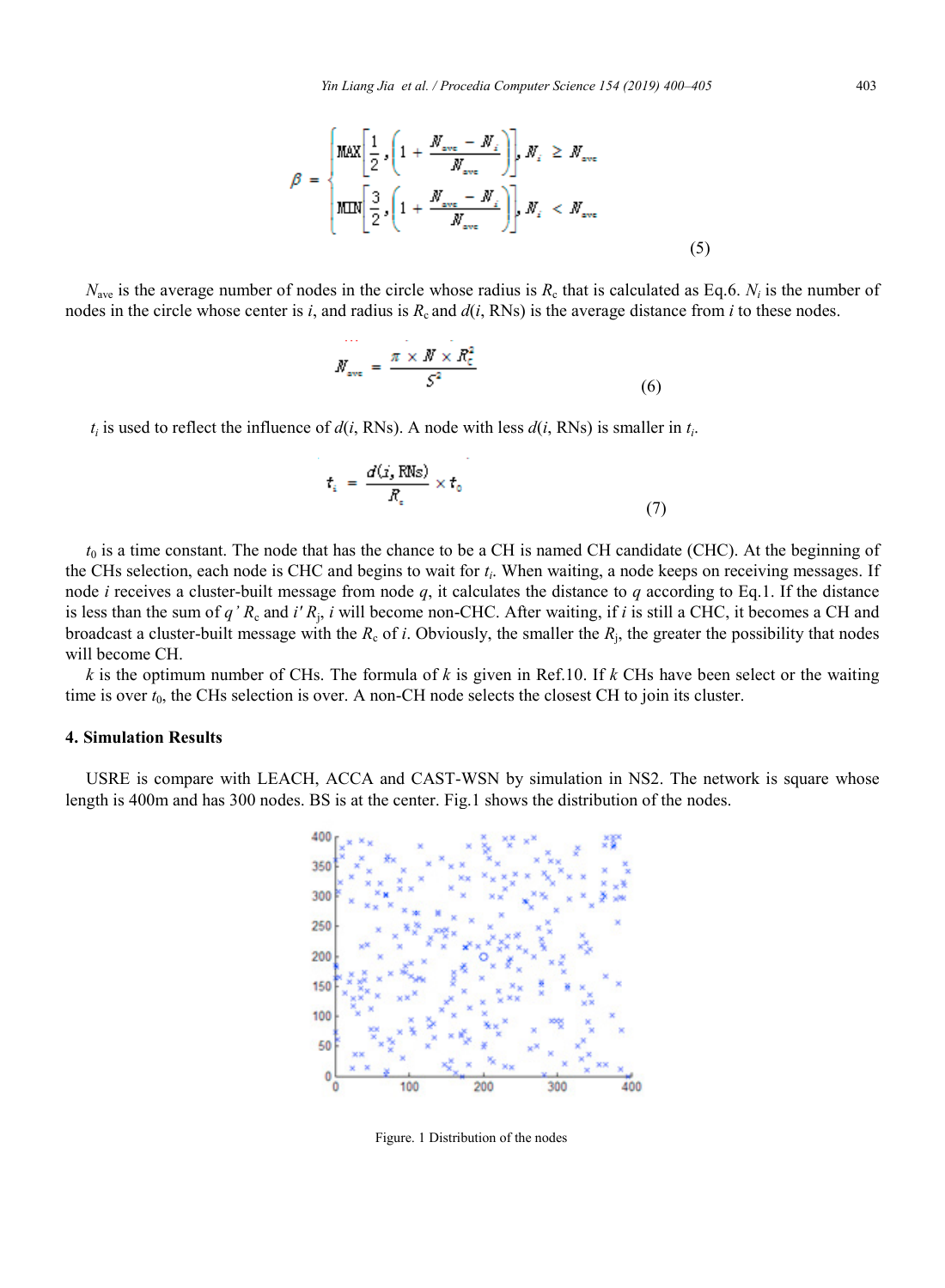$$
\beta = \begin{cases} \text{MAX} \left[ \frac{1}{2} \int_{0}^{1} \left( 1 + \frac{N_{\text{ave}} - N_{i}}{N_{\text{ave}}} \right) \right] \, N_{i} > N_{\text{ave}} \\ \text{MIN} \left[ \frac{3}{2} \int_{0}^{1} \left( 1 + \frac{N_{\text{ave}} - N_{i}}{N_{\text{ave}}} \right) \right] \, N_{i} < N_{\text{ave}} \end{cases} \tag{5}
$$

 $N_{\text{ave}}$  is the average number of nodes in the circle whose radius is  $R_c$  that is calculated as Eq.6.  $N_i$  is the number of nodes in the circle whose center is *i*, and radius is  $R_c$  and  $d(i, RNs)$  is the average distance from *i* to these nodes.

$$
M_{\text{ave}} = \frac{\pi \times M \times R_c^2}{S^2} \tag{6}
$$

 $t_i$  is used to reflect the influence of  $d(i, RNs)$ . A node with less  $d(i, RNs)$  is smaller in  $t_i$ .

$$
t_{i} = \frac{d(\dot{x}_{s} \text{ RMS})}{R_{s}} \times t_{0}
$$
\n
$$
\tag{7}
$$

*t*<sub>0</sub> is a time constant. The node that has the chance to be a CH is named CH candidate (CHC). At the beginning of the CHs selection, each node is CHC and begins to wait for *ti*. When waiting, a node keeps on receiving messages. If node *i* receives a cluster-built message from node  $q$ , it calculates the distance to  $q$  according to Eq.1. If the distance is less than the sum of *q*<sup>'</sup>  $R_c$  and *i'*  $R_i$ , *i* will become non-CHC. After waiting, if *i* is still a CHC, it becomes a CH and broadcast a cluster-built message with the  $R_c$  of *i*. Obviously, the smaller the  $R_i$ , the greater the possibility that nodes will become CH.

*k* is the optimum number of CHs. The formula of *k* is given in Ref.10. If *k* CHs have been select or the waiting time is over  $t_0$ , the CHs selection is over. A non-CH node selects the closest CH to join its cluster.

#### **4. Simulation Results**

USRE is compare with LEACH, ACCA and CAST-WSN by simulation in NS2. The network is square whose length is 400m and has 300 nodes. BS is at the center. Fig.1 shows the distribution of the nodes.



Figure. 1 Distribution of the nodes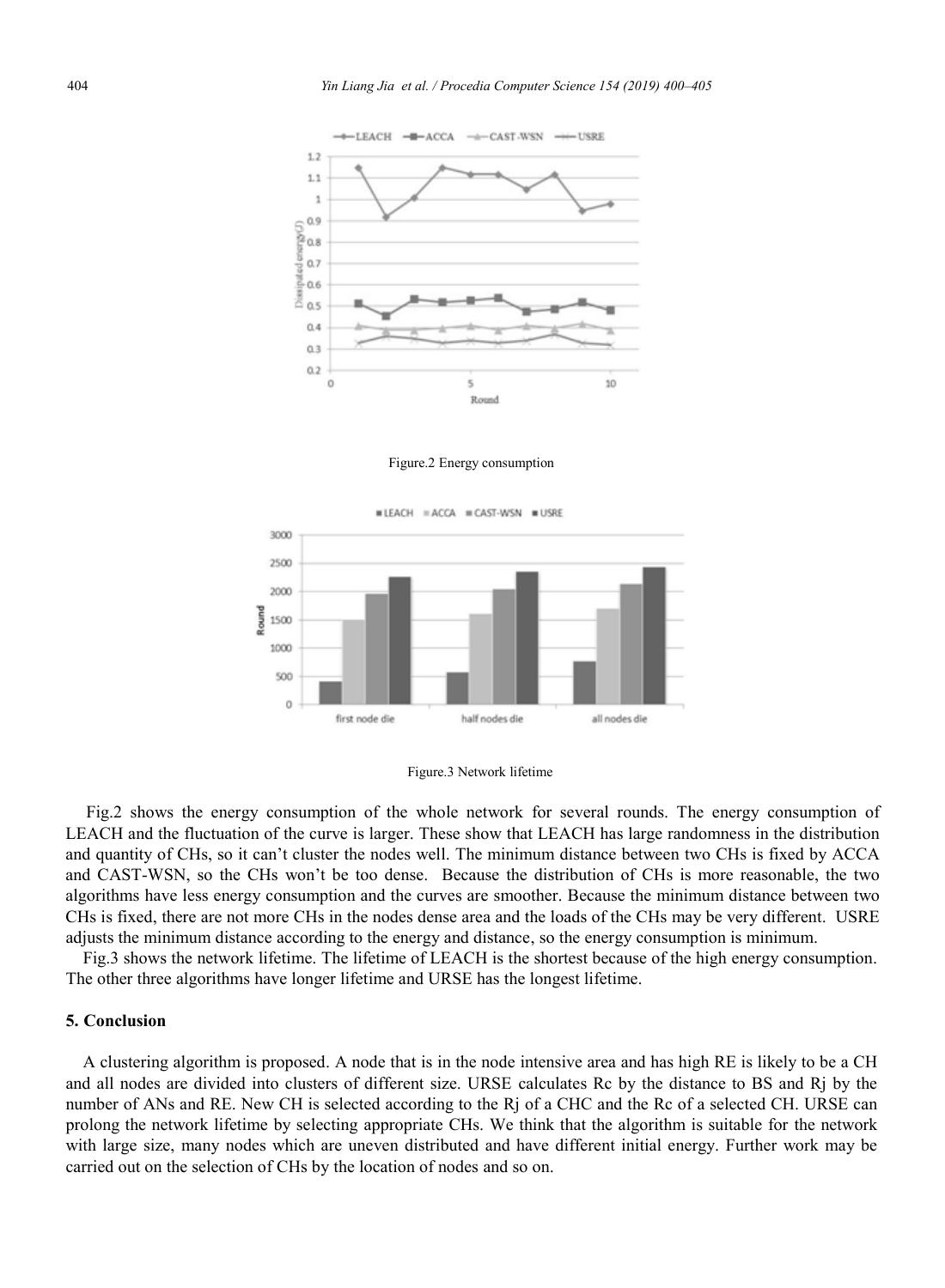

Figure.2 Energy consumption





Fig.2 shows the energy consumption of the whole network for several rounds. The energy consumption of LEACH and the fluctuation of the curve is larger. These show that LEACH has large randomness in the distribution and quantity of CHs, so it can't cluster the nodes well. The minimum distance between two CHs is fixed by ACCA and CAST-WSN, so the CHs won't be too dense. Because the distribution of CHs is more reasonable, the two algorithms have less energy consumption and the curves are smoother. Because the minimum distance between two CHs is fixed, there are not more CHs in the nodes dense area and the loads of the CHs may be very different. USRE adjusts the minimum distance according to the energy and distance, so the energy consumption is minimum.

Fig.3 shows the network lifetime. The lifetime of LEACH is the shortest because of the high energy consumption. The other three algorithms have longer lifetime and URSE has the longest lifetime.

### **5. Conclusion**

A clustering algorithm is proposed. A node that is in the node intensive area and has high RE is likely to be a CH and all nodes are divided into clusters of different size. URSE calculates Rc by the distance to BS and Rj by the number of ANs and RE. New CH is selected according to the Rj of a CHC and the Rc of a selected CH. URSE can prolong the network lifetime by selecting appropriate CHs. We think that the algorithm is suitable for the network with large size, many nodes which are uneven distributed and have different initial energy. Further work may be carried out on the selection of CHs by the location of nodes and so on.